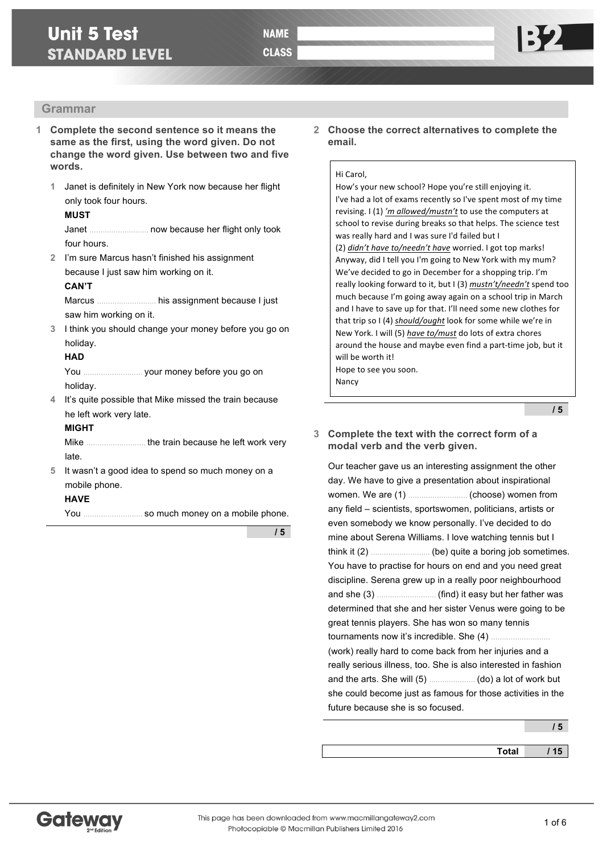# **Grammar**

- **1 Complete the second sentence so it means the same as the first, using the word given. Do not change the word given. Use between two and five words.**
	- **1** Janet is definitely in New York now because her flight only took four hours.

### **MUST**

Janet ……………………… now because her flight only took four hours.

**2** I'm sure Marcus hasn't finished his assignment because I just saw him working on it.

#### **CAN'T**

Marcus ……………………… his assignment because I just saw him working on it.

**3** I think you should change your money before you go on holiday.

#### **HAD**

You ……………………… your money before you go on holiday.

**4** It's quite possible that Mike missed the train because he left work very late.

## **MIGHT**

Mike ……………………… the train because he left work very late.

**5** It wasn't a good idea to spend so much money on a mobile phone.

### **HAVE**

You ……………………… so much money on a mobile phone.

**/ 5**

**2 Choose the correct alternatives to complete the email.**

#### Hi Carol.

How's your new school? Hope you're still enjoying it. I've had a lot of exams recently so I've spent most of my time revising. I (1) 'm allowed/mustn't to use the computers at school to revise during breaks so that helps. The science test was really hard and I was sure I'd failed but I (2) *didn't have to/needn't have* worried. I got top marks! Anyway, did I tell you I'm going to New York with my mum? We've decided to go in December for a shopping trip. I'm really looking forward to it, but I (3) mustn't/needn't spend too much because I'm going away again on a school trip in March and I have to save up for that. I'll need some new clothes for that trip so I (4) *should/ought* look for some while we're in New York. I will (5) have to/must do lots of extra chores around the house and maybe even find a part-time job, but it will be worth it! Hope to see you soon.

Nancy

**/ 5**

### **3 Complete the text with the correct form of a modal verb and the verb given.**

Our teacher gave us an interesting assignment the other day. We have to give a presentation about inspirational women. We are (1) ……………………… (choose) women from any field – scientists, sportswomen, politicians, artists or even somebody we know personally. I've decided to do mine about Serena Williams. I love watching tennis but I think it (2) ……………………… (be) quite a boring job sometimes. You have to practise for hours on end and you need great discipline. Serena grew up in a really poor neighbourhood and she (3) ……………………… (find) it easy but her father was determined that she and her sister Venus were going to be great tennis players. She has won so many tennis tournaments now it's incredible. She (4) ...... (work) really hard to come back from her injuries and a really serious illness, too. She is also interested in fashion

and the arts. She will (5) ………………… (do) a lot of work but she could become just as famous for those activities in the future because she is so focused.

**Total / 15**

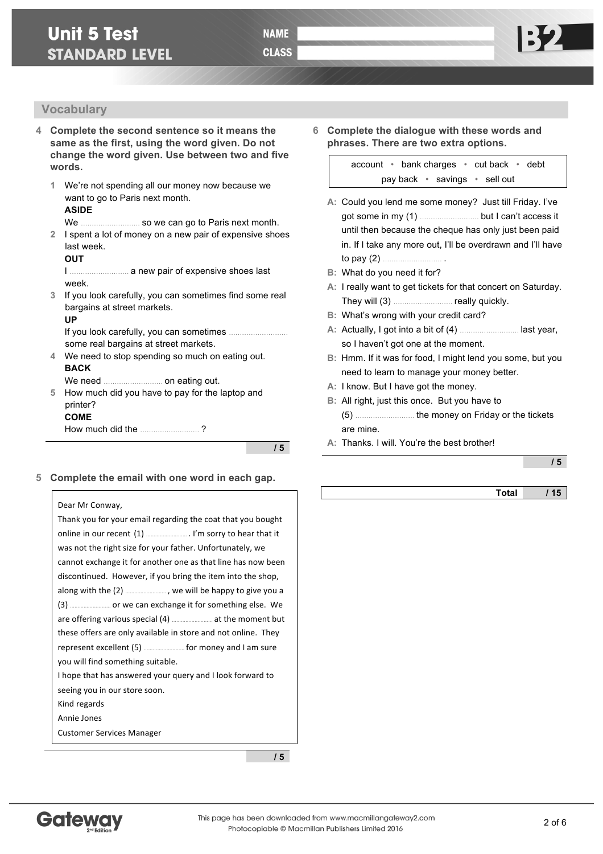## **Vocabulary**

- **4 Complete the second sentence so it means the same as the first, using the word given. Do not change the word given. Use between two and five words.**
	- **1** We're not spending all our money now because we want to go to Paris next month. **ASIDE**

- We ……………………… so we can go to Paris next month.
- **2** I spent a lot of money on a new pair of expensive shoes last week.

#### **OUT**

I ……………………… a new pair of expensive shoes last week.

**3** If you look carefully, you can sometimes find some real bargains at street markets.

#### **UP**

If you look carefully, you can sometimes ........ some real bargains at street markets.

**4** We need to stop spending so much on eating out. **BACK**

We need **.......................** on eating out.

**5** How much did you have to pay for the laptop and printer? **COME**

How much did the ……………………… ?

**/ 5**

**5 Complete the email with one word in each gap.**

#### Dear Mr Conway,

| Thank you for your email regarding the coat that you bought   |
|---------------------------------------------------------------|
|                                                               |
| was not the right size for your father. Unfortunately, we     |
| cannot exchange it for another one as that line has now been  |
| discontinued. However, if you bring the item into the shop,   |
|                                                               |
|                                                               |
|                                                               |
| these offers are only available in store and not online. They |
|                                                               |
| you will find something suitable.                             |
| I hope that has answered your query and I look forward to     |
| seeing you in our store soon.                                 |
| Kind regards                                                  |
| Annie Jones                                                   |
| <b>Customer Services Manager</b>                              |

**/ 5**

**6 Complete the dialogue with these words and phrases. There are two extra options.**

> account • bank charges • cut back • debt pay back • savings • sell out

- **A:** Could you lend me some money? Just till Friday. I've got some in my (1) ……………………… but I can't access it until then because the cheque has only just been paid in. If I take any more out, I'll be overdrawn and I'll have to pay (2) ……………………… .
- **B:** What do you need it for?
- **A:** I really want to get tickets for that concert on Saturday. They will (3) ……………………… really quickly.
- **B:** What's wrong with your credit card?
- **A:** Actually, I got into a bit of (4) ……………………… last year, so I haven't got one at the moment.
- **B:** Hmm. If it was for food, I might lend you some, but you need to learn to manage your money better.
- **A:** I know. But I have got the money.
- **B:** All right, just this once. But you have to (5) ……………………… the money on Friday or the tickets are mine.
- **A:** Thanks. I will. You're the best brother!

**/ 5**

**Total / 15**

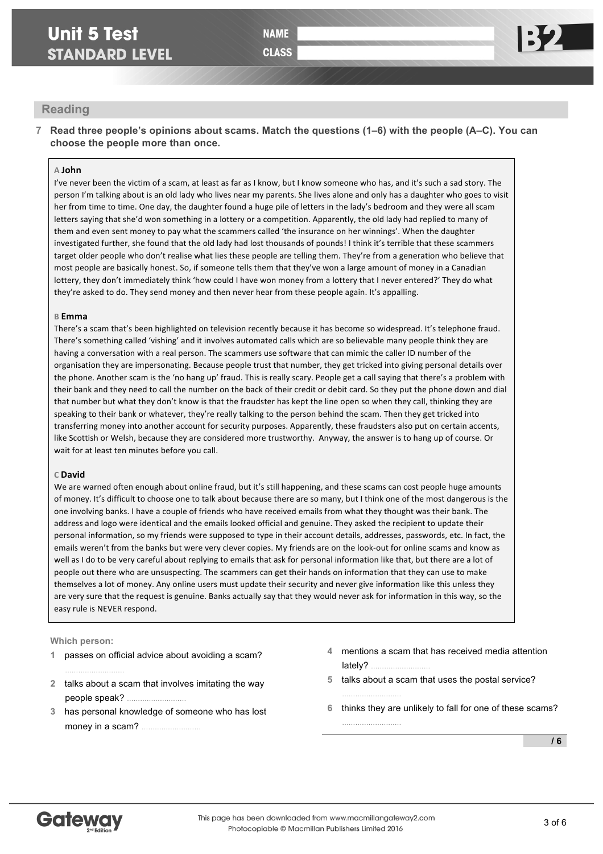**CLASS** 

## **Reading**

**7 Read three people's opinions about scams. Match the questions (1–6) with the people (A–C). You can choose the people more than once.**

#### **A John**

I've never been the victim of a scam, at least as far as I know, but I know someone who has, and it's such a sad story. The person I'm talking about is an old lady who lives near my parents. She lives alone and only has a daughter who goes to visit her from time to time. One day, the daughter found a huge pile of letters in the lady's bedroom and they were all scam letters saying that she'd won something in a lottery or a competition. Apparently, the old lady had replied to many of them and even sent money to pay what the scammers called 'the insurance on her winnings'. When the daughter investigated further, she found that the old lady had lost thousands of pounds! I think it's terrible that these scammers target older people who don't realise what lies these people are telling them. They're from a generation who believe that most people are basically honest. So, if someone tells them that they've won a large amount of money in a Canadian lottery, they don't immediately think 'how could I have won money from a lottery that I never entered?' They do what they're asked to do. They send money and then never hear from these people again. It's appalling.

#### **B Emma**

There's a scam that's been highlighted on television recently because it has become so widespread. It's telephone fraud. There's something called 'vishing' and it involves automated calls which are so believable many people think they are having a conversation with a real person. The scammers use software that can mimic the caller ID number of the organisation they are impersonating. Because people trust that number, they get tricked into giving personal details over the phone. Another scam is the 'no hang up' fraud. This is really scary. People get a call saying that there's a problem with their bank and they need to call the number on the back of their credit or debit card. So they put the phone down and dial that number but what they don't know is that the fraudster has kept the line open so when they call, thinking they are speaking to their bank or whatever, they're really talking to the person behind the scam. Then they get tricked into transferring money into another account for security purposes. Apparently, these fraudsters also put on certain accents, like Scottish or Welsh, because they are considered more trustworthy. Anyway, the answer is to hang up of course. Or wait for at least ten minutes before you call.

#### **C David**

We are warned often enough about online fraud, but it's still happening, and these scams can cost people huge amounts of money. It's difficult to choose one to talk about because there are so many, but I think one of the most dangerous is the one involving banks. I have a couple of friends who have received emails from what they thought was their bank. The address and logo were identical and the emails looked official and genuine. They asked the recipient to update their personal information, so my friends were supposed to type in their account details, addresses, passwords, etc. In fact, the emails weren't from the banks but were very clever copies. My friends are on the look-out for online scams and know as well as I do to be very careful about replying to emails that ask for personal information like that, but there are a lot of people out there who are unsuspecting. The scammers can get their hands on information that they can use to make themselves a lot of money. Any online users must update their security and never give information like this unless they are very sure that the request is genuine. Banks actually say that they would never ask for information in this way, so the easy rule is NEVER respond.

#### **Which person:**

- **1** passes on official advice about avoiding a scam? …………………………
- **2** talks about a scam that involves imitating the way people speak? ...
- **3** has personal knowledge of someone who has lost money in a scam? ………………………
- **4** mentions a scam that has received media attention lately?  $\Box$
- **5** talks about a scam that uses the postal service?

…………………………

**6** thinks they are unlikely to fall for one of these scams? ………………………

**/ 6**

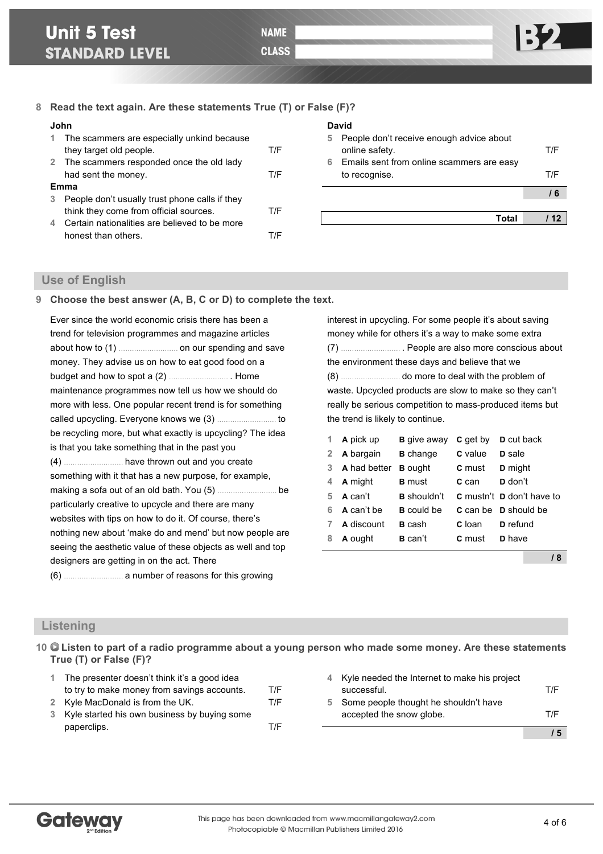## **8 Read the text again. Are these statements True (T) or False (F)?**

#### **John**

|   | 1 The scammers are especially unkind because   |     |
|---|------------------------------------------------|-----|
|   | they target old people.                        | T/F |
|   | 2 The scammers responded once the old lady     |     |
|   | had sent the money.                            | T/F |
|   | Emma                                           |     |
| 3 | People don't usually trust phone calls if they |     |
|   | think they come from official sources.         | T/F |
| 4 | Certain nationalities are believed to be more  |     |
|   | honest than others.                            |     |

#### **David**

| 5<br>6 | People don't receive enough advice about<br>online safety.<br>Emails sent from online scammers are easy | T/F  |
|--------|---------------------------------------------------------------------------------------------------------|------|
|        | to recognise.                                                                                           | T/F  |
|        |                                                                                                         | 6    |
|        | Total                                                                                                   | / 12 |
|        |                                                                                                         |      |

# **Use of English**

### **9 Choose the best answer (A, B, C or D) to complete the text.**

| Ever since the world economic crisis there has been a       |
|-------------------------------------------------------------|
| trend for television programmes and magazine articles       |
|                                                             |
| money. They advise us on how to eat good food on a          |
| budget and how to spot a (2)  Home                          |
| maintenance programmes now tell us how we should do         |
| more with less. One popular recent trend is for something   |
|                                                             |
| be recycling more, but what exactly is upcycling? The idea  |
| is that you take something that in the past you             |
|                                                             |
| something with it that has a new purpose, for example,      |
|                                                             |
| particularly creative to upcycle and there are many         |
| websites with tips on how to do it. Of course, there's      |
| nothing new about 'make do and mend' but now people are     |
| seeing the aesthetic value of these objects as well and top |
| designers are getting in on the act. There                  |
|                                                             |

interest in upcycling. For some people it's about saving money while for others it's a way to make some extra (7) ……………………… . People are also more conscious about the environment these days and believe that we (8) ……………………… do more to deal with the problem of waste. Upcycled products are slow to make so they can't really be serious competition to mass-produced items but the trend is likely to continue.

| 1.           | A pick up    | <b>B</b> give away | <b>C</b> get by | <b>D</b> cut back                       |
|--------------|--------------|--------------------|-----------------|-----------------------------------------|
| $\mathbf{2}$ | A bargain    | <b>B</b> change    | C value         | <b>D</b> sale                           |
| 3            | A had better | <b>B</b> ought     | <b>C</b> must   | <b>D</b> might                          |
| 4            | A might      | <b>B</b> must      | C can           | D don't                                 |
| 5            | A can't      | <b>B</b> shouldn't |                 | <b>C</b> mustn't <b>D</b> don't have to |
| 6            | A can't be   | <b>B</b> could be  |                 | <b>C</b> can be <b>D</b> should be      |
|              | A discount   | <b>B</b> cash      | <b>C</b> loan   | <b>D</b> refund                         |
| 8            | A ought      | <b>B</b> can't     | C must          | <b>D</b> have                           |
|              |              |                    |                 |                                         |

**/ 8**

## **Listening**

**10 Listen to part of a radio programme about a young person who made some money. Are these statements True (T) or False (F)?**

| 1 The presenter doesn't think it's a good idea |     |
|------------------------------------------------|-----|
| to try to make money from savings accounts.    | T/F |
| 2 Kyle MacDonald is from the UK.               | T/F |
| 3 Kyle started his own business by buying some |     |
| paperclips.                                    | T/F |

|   | accepted the snow globe.                     | T/F |
|---|----------------------------------------------|-----|
| 5 | Some people thought he shouldn't have        |     |
|   | successful.                                  | T/F |
| 4 | Kyle needed the Internet to make his project |     |

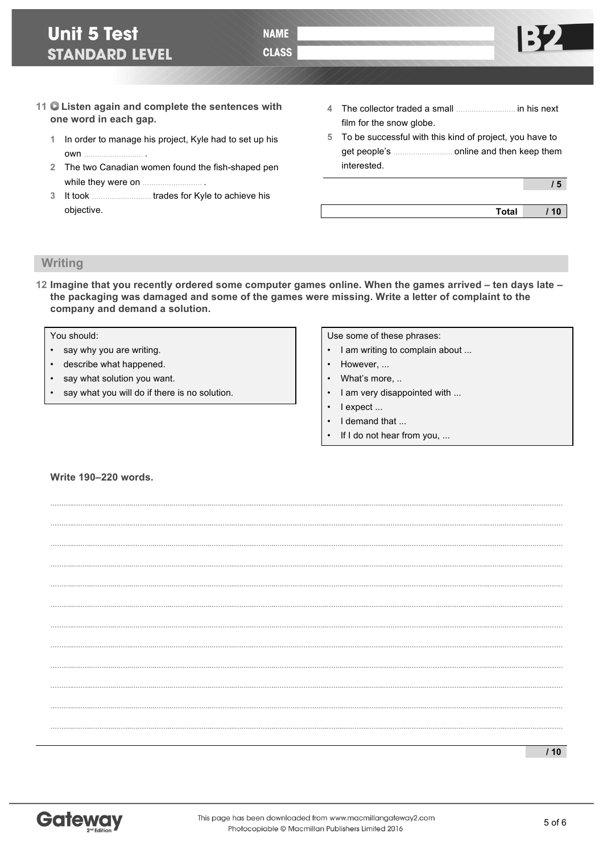**NAME** 

**CLASS** 

- **11 Listen again and complete the sentences with one word in each gap.**
	- **1** In order to manage his project, Kyle had to set up his  $<sub>own</sub>$ </sub>
	- **2** The two Canadian women found the fish-shaped pen while they were on ……………………… .
	- **3** It took ……………………… trades for Kyle to achieve his objective.
- **4** The collector traded a small ……………………… in his next film for the snow globe.
- **5** To be successful with this kind of project, you have to get people's ……………………… online and then keep them interested.

**/ 5**

**Total / 10**

# **Writing**

**12 Imagine that you recently ordered some computer games online. When the games arrived – ten days late – the packaging was damaged and some of the games were missing. Write a letter of complaint to the company and demand a solution.**

**………..……..………..……..………..……..………..……..………..……..………..……….…………..……..………..……..………..……..………..……..………..……..………..……….…… ………..……..………..……..………..……..………..……..………..……..………..……….…………..……..………..……..………..……..………..……..………..……..………..……….……**

**………..……..………..……..………..……..………..……..………..……..………..……….…………..……..………..……..………..……..………..……..………..……..………..……….…… ………..……..………..……..………..……..………..……..………..……..………..……….…………..……..………..……..………..……..………..……..………..……..………..……….…… ………..……..………..……..………..……..………..……..………..……..………..……….…………..……..………..……..………..……..………..……..………..……..………..……….……**

**………..……..………..……..………..……..………..……..………..……..………..……….…………..……..………..……..………..……..………..……..………..……..………..……….…… ………..……..………..……..………..……..………..……..………..……..………..……….…………..……..………..……..………..……..………..……..………..……..………..……….…… ………..……..………..……..………..……..………..……..………..……..………..……….…………..……..………..……..………..……..………..……..………..……..………..……….……**

**………..……..………..……..………..……..………..……..………..……..………..……….…………..……..………..……..………..……..………..……..………..……..………..……….…… ………..……..………..……..………..……..………..……..………..……..………..……….…………..……..………..……..………..……..………..……..………..……..………..……….…… ………..……..………..……..………..……..………..……..………..……..………..……….…………..……..………..……..………..……..………..……..………..……..………..……….……**

**………..……..………..……..………..……..………..……..………..……..………..……….…………..……..………..……..………..……..………..……..………..……..………..……….……**

You should:

- say why you are writing.
- describe what happened.
- say what solution you want.
- say what you will do if there is no solution.

Use some of these phrases:

- I am writing to complain about ...
- However, ...
- What's more, ..
- I am very disappointed with ...
- I expect ...
- I demand that ...
- If I do not hear from you, ...

### **Write 190–220 words.**



**/ 10**